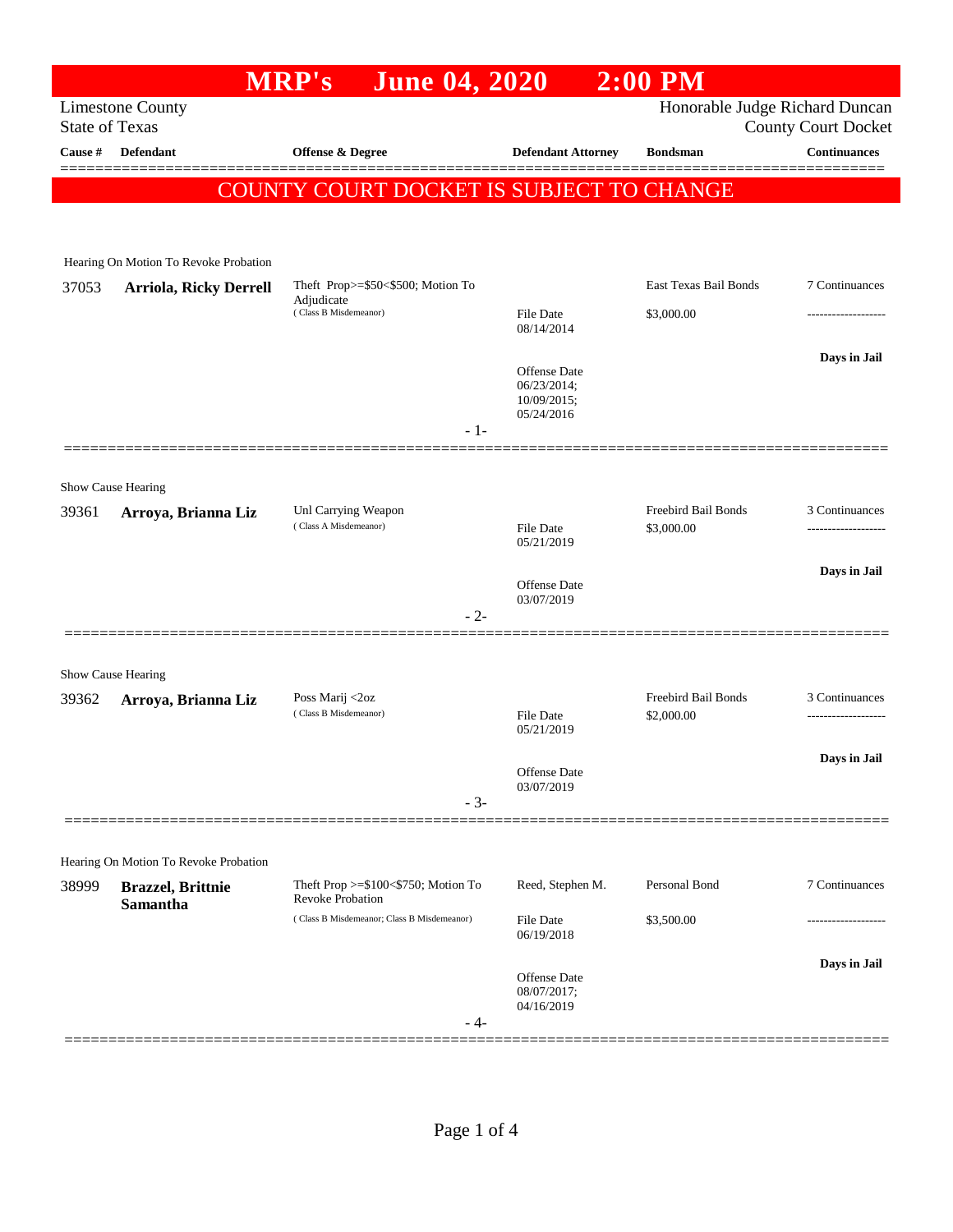|                                                                                    |                                       | <b>June 04, 2020</b><br><b>MRP's</b>         |                                | $2:00$ PM                         |                                                   |
|------------------------------------------------------------------------------------|---------------------------------------|----------------------------------------------|--------------------------------|-----------------------------------|---------------------------------------------------|
| Honorable Judge Richard Duncan<br><b>Limestone County</b><br><b>State of Texas</b> |                                       |                                              |                                |                                   |                                                   |
| Cause #                                                                            | <b>Defendant</b>                      | <b>Offense &amp; Degree</b>                  | <b>Defendant Attorney</b>      | <b>Bondsman</b>                   | <b>County Court Docket</b><br><b>Continuances</b> |
|                                                                                    |                                       |                                              |                                |                                   |                                                   |
|                                                                                    |                                       | COUNTY COURT DOCKET IS SUBJECT TO CHANGE     |                                |                                   |                                                   |
|                                                                                    |                                       |                                              |                                |                                   |                                                   |
|                                                                                    | Hearing On Motion To Revoke Probation |                                              |                                |                                   |                                                   |
| 37053                                                                              | <b>Arriola, Ricky Derrell</b>         | Theft Prop>=\$50<\$500; Motion To            |                                | East Texas Bail Bonds             | 7 Continuances                                    |
|                                                                                    |                                       | Adjudicate<br>(Class B Misdemeanor)          | <b>File Date</b>               | \$3,000.00                        |                                                   |
|                                                                                    |                                       |                                              | 08/14/2014                     |                                   |                                                   |
|                                                                                    |                                       |                                              |                                |                                   | Days in Jail                                      |
|                                                                                    |                                       |                                              | Offense Date<br>06/23/2014;    |                                   |                                                   |
|                                                                                    |                                       |                                              | 10/09/2015;<br>05/24/2016      |                                   |                                                   |
|                                                                                    |                                       | - 1-                                         |                                |                                   |                                                   |
|                                                                                    |                                       |                                              |                                |                                   |                                                   |
|                                                                                    | Show Cause Hearing                    |                                              |                                |                                   |                                                   |
| 39361                                                                              | Arroya, Brianna Liz                   | Unl Carrying Weapon<br>(Class A Misdemeanor) | <b>File Date</b>               | Freebird Bail Bonds<br>\$3,000.00 | 3 Continuances<br>------------------              |
|                                                                                    |                                       |                                              | 05/21/2019                     |                                   |                                                   |
|                                                                                    |                                       |                                              | <b>Offense Date</b>            |                                   | Days in Jail                                      |
|                                                                                    |                                       | $-2-$                                        | 03/07/2019                     |                                   |                                                   |
|                                                                                    |                                       |                                              |                                |                                   |                                                   |
|                                                                                    |                                       |                                              |                                |                                   |                                                   |
|                                                                                    | Show Cause Hearing                    | Poss Marij <2oz                              |                                | Freebird Bail Bonds               | 3 Continuances                                    |
| 39362                                                                              | Arroya, Brianna Liz                   | (Class B Misdemeanor)                        | <b>File Date</b>               | \$2,000.00                        | .                                                 |
|                                                                                    |                                       |                                              | 05/21/2019                     |                                   |                                                   |
|                                                                                    |                                       |                                              | Offense Date                   |                                   | Days in Jail                                      |
|                                                                                    |                                       | $-3-$                                        | 03/07/2019                     |                                   |                                                   |
|                                                                                    |                                       |                                              |                                |                                   |                                                   |
|                                                                                    | Hearing On Motion To Revoke Probation |                                              |                                |                                   |                                                   |
| 38999                                                                              | <b>Brazzel</b> , Brittnie             | Theft Prop >=\$100<\$750; Motion To          | Reed, Stephen M.               | Personal Bond                     | 7 Continuances                                    |
|                                                                                    | <b>Samantha</b>                       | <b>Revoke Probation</b>                      |                                |                                   |                                                   |
|                                                                                    |                                       | (Class B Misdemeanor; Class B Misdemeanor)   | <b>File Date</b><br>06/19/2018 | \$3,500.00                        |                                                   |
|                                                                                    |                                       |                                              |                                |                                   | Days in Jail                                      |
|                                                                                    |                                       |                                              | Offense Date<br>08/07/2017;    |                                   |                                                   |
|                                                                                    |                                       | - 4-                                         | 04/16/2019                     |                                   |                                                   |
|                                                                                    |                                       |                                              |                                |                                   |                                                   |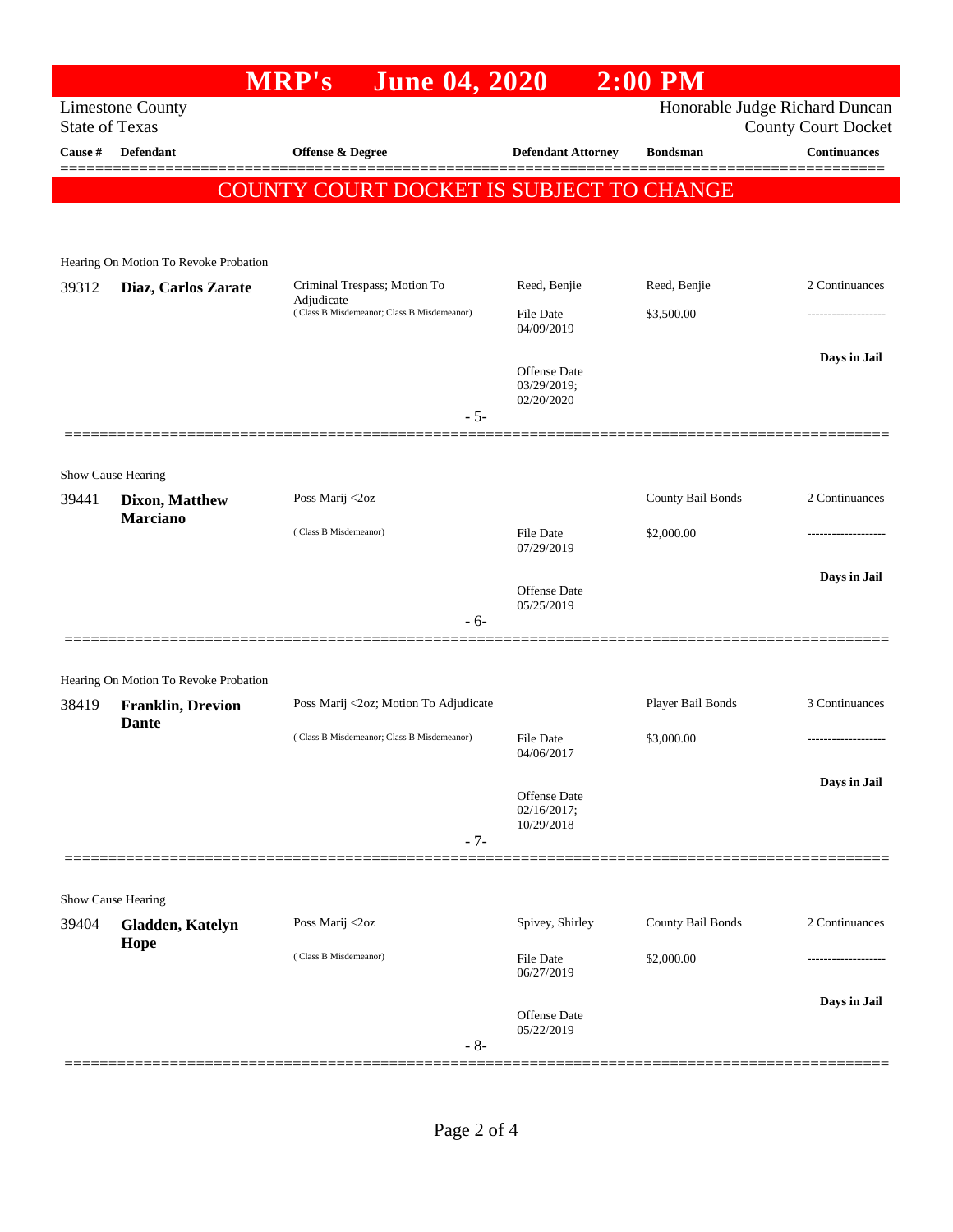|                                                                                                                  |                                          | <b>June 04, 2020</b><br><b>MRP's</b>                     |                                           | $2:00$ PM         |                     |
|------------------------------------------------------------------------------------------------------------------|------------------------------------------|----------------------------------------------------------|-------------------------------------------|-------------------|---------------------|
| Honorable Judge Richard Duncan<br><b>Limestone County</b><br><b>State of Texas</b><br><b>County Court Docket</b> |                                          |                                                          |                                           |                   |                     |
| Cause #                                                                                                          | <b>Defendant</b>                         | <b>Offense &amp; Degree</b>                              | <b>Defendant Attorney</b>                 | <b>Bondsman</b>   | <b>Continuances</b> |
|                                                                                                                  |                                          | COUNTY COURT DOCKET IS SUBJECT TO CHANGE                 |                                           |                   |                     |
|                                                                                                                  |                                          |                                                          |                                           |                   |                     |
|                                                                                                                  | Hearing On Motion To Revoke Probation    |                                                          |                                           |                   |                     |
| 39312                                                                                                            | Diaz, Carlos Zarate                      | Criminal Trespass; Motion To                             | Reed, Benjie                              | Reed, Benjie      | 2 Continuances      |
|                                                                                                                  |                                          | Adjudicate<br>(Class B Misdemeanor; Class B Misdemeanor) | <b>File Date</b><br>04/09/2019            | \$3,500.00        |                     |
|                                                                                                                  |                                          |                                                          | Offense Date<br>03/29/2019;               |                   | Days in Jail        |
|                                                                                                                  |                                          | $-5-$                                                    | 02/20/2020                                |                   |                     |
|                                                                                                                  |                                          |                                                          |                                           |                   |                     |
|                                                                                                                  | Show Cause Hearing                       |                                                          |                                           |                   |                     |
| 39441                                                                                                            | Dixon, Matthew                           | Poss Marij <2oz                                          |                                           | County Bail Bonds | 2 Continuances      |
|                                                                                                                  | <b>Marciano</b>                          | (Class B Misdemeanor)                                    | <b>File Date</b><br>07/29/2019            | \$2,000.00        |                     |
|                                                                                                                  |                                          |                                                          | Offense Date                              |                   | Days in Jail        |
|                                                                                                                  |                                          | $-6-$                                                    | 05/25/2019                                |                   |                     |
|                                                                                                                  |                                          |                                                          |                                           |                   |                     |
|                                                                                                                  | Hearing On Motion To Revoke Probation    |                                                          |                                           |                   |                     |
| 38419                                                                                                            | <b>Franklin, Drevion</b><br><b>Dante</b> | Poss Marij <2oz; Motion To Adjudicate                    |                                           | Player Bail Bonds | 3 Continuances      |
|                                                                                                                  |                                          | (Class B Misdemeanor; Class B Misdemeanor)               | <b>File Date</b><br>04/06/2017            | \$3,000.00        |                     |
|                                                                                                                  |                                          |                                                          | Offense Date<br>02/16/2017;<br>10/29/2018 |                   | Days in Jail        |
|                                                                                                                  |                                          | $-7-$                                                    |                                           |                   |                     |
|                                                                                                                  |                                          |                                                          |                                           |                   |                     |
| 39404                                                                                                            | Show Cause Hearing<br>Gladden, Katelyn   | Poss Marij <2oz                                          | Spivey, Shirley                           | County Bail Bonds | 2 Continuances      |
|                                                                                                                  | Hope                                     |                                                          |                                           |                   |                     |
|                                                                                                                  |                                          | (Class B Misdemeanor)                                    | <b>File Date</b><br>06/27/2019            | \$2,000.00        |                     |
|                                                                                                                  |                                          | $-8-$                                                    | Offense Date<br>05/22/2019                |                   | Days in Jail        |
|                                                                                                                  |                                          |                                                          |                                           |                   |                     |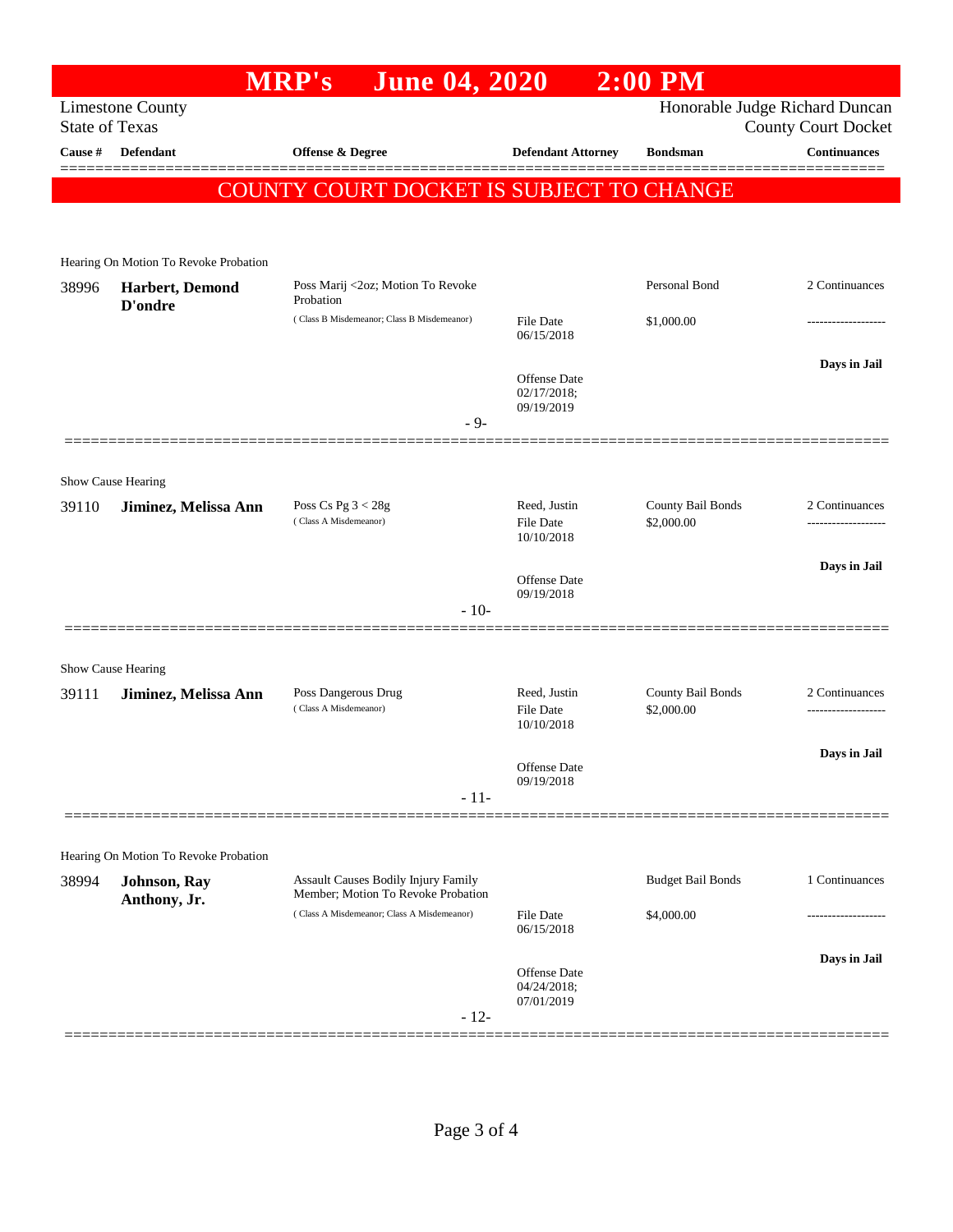|         |                                                                                    | <b>June 04, 2020</b><br><b>MRP's</b>                                      |                                                | $2:00$ PM                       |                                                   |  |
|---------|------------------------------------------------------------------------------------|---------------------------------------------------------------------------|------------------------------------------------|---------------------------------|---------------------------------------------------|--|
|         | Honorable Judge Richard Duncan<br><b>Limestone County</b><br><b>State of Texas</b> |                                                                           |                                                |                                 |                                                   |  |
| Cause # | <b>Defendant</b>                                                                   | <b>Offense &amp; Degree</b>                                               | <b>Defendant Attorney</b>                      | <b>Bondsman</b>                 | <b>County Court Docket</b><br><b>Continuances</b> |  |
|         |                                                                                    |                                                                           |                                                |                                 |                                                   |  |
|         |                                                                                    | COUNTY COURT DOCKET IS SUBJECT TO CHANGE                                  |                                                |                                 |                                                   |  |
|         |                                                                                    |                                                                           |                                                |                                 |                                                   |  |
|         | Hearing On Motion To Revoke Probation                                              |                                                                           |                                                |                                 |                                                   |  |
| 38996   | Harbert, Demond<br>D'ondre                                                         | Poss Marij <2oz; Motion To Revoke<br>Probation                            |                                                | Personal Bond                   | 2 Continuances                                    |  |
|         |                                                                                    | (Class B Misdemeanor; Class B Misdemeanor)                                | <b>File Date</b><br>06/15/2018                 | \$1,000.00                      | .                                                 |  |
|         |                                                                                    |                                                                           | Offense Date<br>02/17/2018;<br>09/19/2019      |                                 | Days in Jail                                      |  |
|         |                                                                                    | $-9-$                                                                     |                                                |                                 |                                                   |  |
|         | Show Cause Hearing                                                                 |                                                                           |                                                |                                 |                                                   |  |
| 39110   | Jiminez, Melissa Ann                                                               | Poss Cs Pg $3 < 28g$                                                      | Reed, Justin                                   | County Bail Bonds               | 2 Continuances                                    |  |
|         |                                                                                    | (Class A Misdemeanor)                                                     | <b>File Date</b><br>10/10/2018                 | \$2,000.00                      |                                                   |  |
|         |                                                                                    |                                                                           | <b>Offense Date</b>                            |                                 | Days in Jail                                      |  |
|         |                                                                                    | $-10-$                                                                    | 09/19/2018                                     |                                 |                                                   |  |
|         |                                                                                    |                                                                           |                                                |                                 |                                                   |  |
|         | Show Cause Hearing                                                                 |                                                                           |                                                |                                 |                                                   |  |
| 39111   | Jiminez, Melissa Ann                                                               | Poss Dangerous Drug<br>(Class A Misdemeanor)                              | Reed, Justin<br><b>File Date</b><br>10/10/2018 | County Bail Bonds<br>\$2,000.00 | 2 Continuances                                    |  |
|         |                                                                                    |                                                                           | Offense Date                                   |                                 | Days in Jail                                      |  |
|         |                                                                                    | $-11-$                                                                    | 09/19/2018                                     |                                 |                                                   |  |
|         |                                                                                    |                                                                           |                                                |                                 |                                                   |  |
|         | Hearing On Motion To Revoke Probation                                              |                                                                           |                                                |                                 |                                                   |  |
| 38994   | Johnson, Ray<br>Anthony, Jr.                                                       | Assault Causes Bodily Injury Family<br>Member; Motion To Revoke Probation |                                                | <b>Budget Bail Bonds</b>        | 1 Continuances                                    |  |
|         |                                                                                    | (Class A Misdemeanor; Class A Misdemeanor)                                | <b>File Date</b><br>06/15/2018                 | \$4,000.00                      | ------------------                                |  |
|         |                                                                                    |                                                                           |                                                |                                 | Days in Jail                                      |  |
|         |                                                                                    | $-12-$                                                                    | Offense Date<br>04/24/2018;<br>07/01/2019      |                                 |                                                   |  |
|         |                                                                                    |                                                                           |                                                |                                 |                                                   |  |